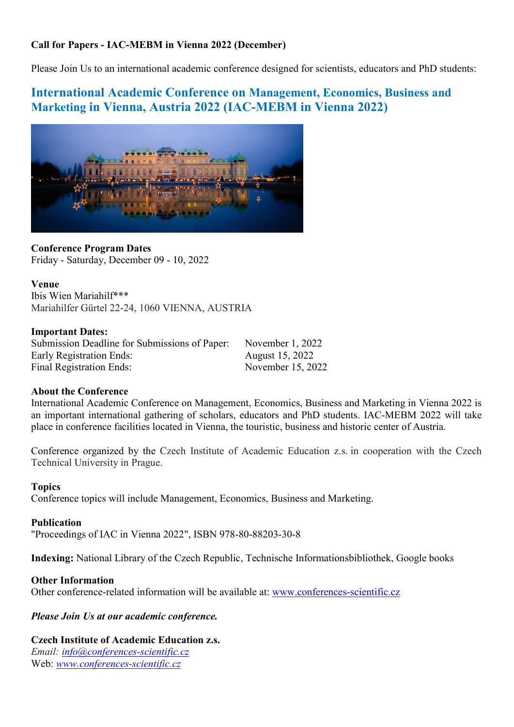# Call for Papers - IAC-MEBM in Vienna 2022 (December)

Please Join Us to an international academic conference designed for scientists, educators and PhD students:

# International Academic Conference on Management, Economics, Business and Marketing in Vienna, Austria 2022 (IAC-MEBM in Vienna 2022)



Conference Program Dates Friday - Saturday, December 09 - 10, 2022

Venue Ibis Wien Mariahilf\*\*\* Mariahilfer Gürtel 22-24, 1060 VIENNA, AUSTRIA

## Important Dates:

Submission Deadline for Submissions of Paper: November 1, 2022 Early Registration Ends: August 15, 2022 Final Registration Ends: November 15, 2022

# About the Conference

International Academic Conference on Management, Economics, Business and Marketing in Vienna 2022 is an important international gathering of scholars, educators and PhD students. IAC-MEBM 2022 will take place in conference facilities located in Vienna, the touristic, business and historic center of Austria.

Conference organized by the Czech Institute of Academic Education z.s. in cooperation with the Czech Technical University in Prague.

## Topics

Conference topics will include Management, Economics, Business and Marketing.

## Publication

"Proceedings of IAC in Vienna 2022", ISBN 978-80-88203-30-8

Indexing: National Library of the Czech Republic, Technische Informationsbibliothek, Google books

## Other Information

Other conference-related information will be available at: www.conferences-scientific.cz

Please Join Us at our academic conference.

## Czech Institute of Academic Education z.s.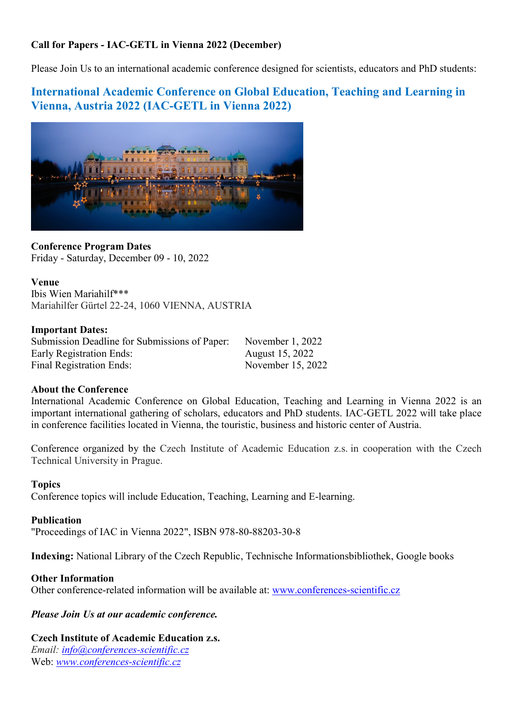# Call for Papers - IAC-GETL in Vienna 2022 (December)

Please Join Us to an international academic conference designed for scientists, educators and PhD students:

# International Academic Conference on Global Education, Teaching and Learning in Vienna, Austria 2022 (IAC-GETL in Vienna 2022)



Conference Program Dates Friday - Saturday, December 09 - 10, 2022

Venue Ibis Wien Mariahilf\*\*\* Mariahilfer Gürtel 22-24, 1060 VIENNA, AUSTRIA

## Important Dates:

Submission Deadline for Submissions of Paper: November 1, 2022 Early Registration Ends: August 15, 2022 Final Registration Ends: November 15, 2022

# About the Conference

International Academic Conference on Global Education, Teaching and Learning in Vienna 2022 is an important international gathering of scholars, educators and PhD students. IAC-GETL 2022 will take place in conference facilities located in Vienna, the touristic, business and historic center of Austria.

Conference organized by the Czech Institute of Academic Education z.s. in cooperation with the Czech Technical University in Prague.

## Topics

Conference topics will include Education, Teaching, Learning and E-learning.

## Publication

"Proceedings of IAC in Vienna 2022", ISBN 978-80-88203-30-8

Indexing: National Library of the Czech Republic, Technische Informationsbibliothek, Google books

## Other Information

Other conference-related information will be available at: www.conferences-scientific.cz

## Please Join Us at our academic conference.

## Czech Institute of Academic Education z.s.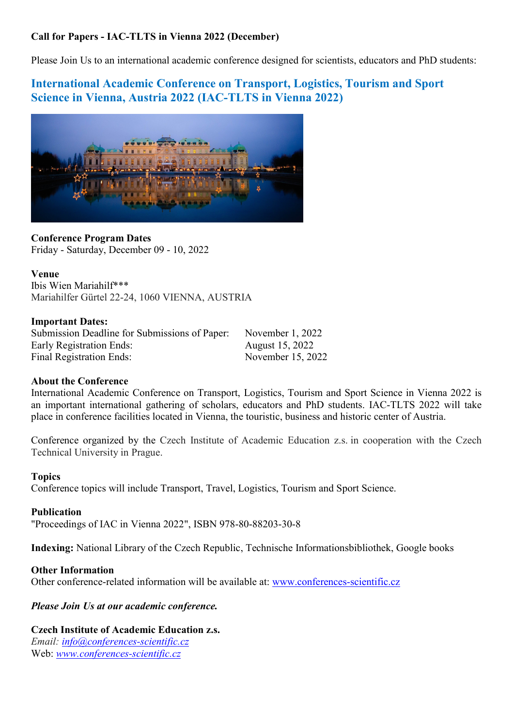# Call for Papers - IAC-TLTS in Vienna 2022 (December)

Please Join Us to an international academic conference designed for scientists, educators and PhD students:

# International Academic Conference on Transport, Logistics, Tourism and Sport Science in Vienna, Austria 2022 (IAC-TLTS in Vienna 2022)



Conference Program Dates Friday - Saturday, December 09 - 10, 2022

Venue Ibis Wien Mariahilf\*\*\* Mariahilfer Gürtel 22-24, 1060 VIENNA, AUSTRIA

## Important Dates:

Submission Deadline for Submissions of Paper: November 1, 2022 Early Registration Ends: August 15, 2022 Final Registration Ends: November 15, 2022

# About the Conference

International Academic Conference on Transport, Logistics, Tourism and Sport Science in Vienna 2022 is an important international gathering of scholars, educators and PhD students. IAC-TLTS 2022 will take place in conference facilities located in Vienna, the touristic, business and historic center of Austria.

Conference organized by the Czech Institute of Academic Education z.s. in cooperation with the Czech Technical University in Prague.

# Topics

Conference topics will include Transport, Travel, Logistics, Tourism and Sport Science.

## Publication

"Proceedings of IAC in Vienna 2022", ISBN 978-80-88203-30-8

Indexing: National Library of the Czech Republic, Technische Informationsbibliothek, Google books

## Other Information

Other conference-related information will be available at: www.conferences-scientific.cz

# Please Join Us at our academic conference.

# Czech Institute of Academic Education z.s.